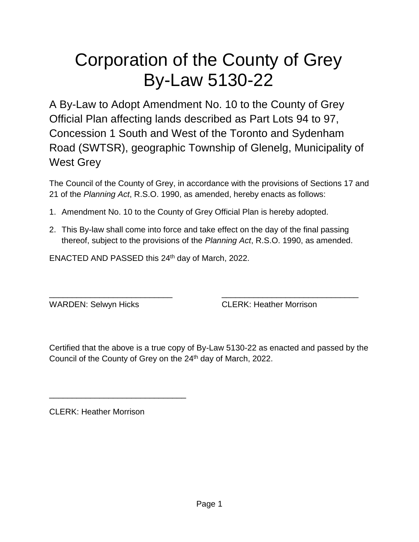# Corporation of the County of Grey By-Law 5130-22

A By-Law to Adopt Amendment No. 10 to the County of Grey Official Plan affecting lands described as Part Lots 94 to 97, Concession 1 South and West of the Toronto and Sydenham Road (SWTSR), geographic Township of Glenelg, Municipality of West Grey

The Council of the County of Grey, in accordance with the provisions of Sections 17 and 21 of the *Planning Act*, R.S.O. 1990, as amended, hereby enacts as follows:

- 1. Amendment No. 10 to the County of Grey Official Plan is hereby adopted.
- 2. This By-law shall come into force and take effect on the day of the final passing thereof, subject to the provisions of the *Planning Act*, R.S.O. 1990, as amended.

\_\_\_\_\_\_\_\_\_\_\_\_\_\_\_\_\_\_\_\_\_\_\_\_\_\_\_ \_\_\_\_\_\_\_\_\_\_\_\_\_\_\_\_\_\_\_\_\_\_\_\_\_\_\_\_\_\_

ENACTED AND PASSED this 24th day of March, 2022.

WARDEN: Selwyn Hicks CLERK: Heather Morrison

Certified that the above is a true copy of By-Law 5130-22 as enacted and passed by the Council of the County of Grey on the 24<sup>th</sup> day of March, 2022.

CLERK: Heather Morrison

\_\_\_\_\_\_\_\_\_\_\_\_\_\_\_\_\_\_\_\_\_\_\_\_\_\_\_\_\_\_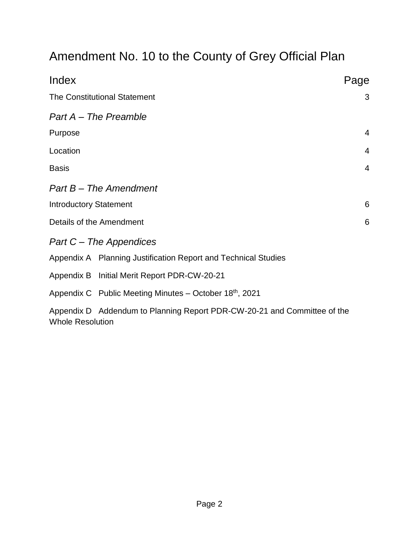# Amendment No. 10 to the County of Grey Official Plan

| Index                                                                                               | Page           |
|-----------------------------------------------------------------------------------------------------|----------------|
| <b>The Constitutional Statement</b>                                                                 | 3              |
| Part A - The Preamble                                                                               |                |
| Purpose                                                                                             | 4              |
| Location                                                                                            | $\overline{4}$ |
| <b>Basis</b>                                                                                        | $\overline{4}$ |
| Part B - The Amendment                                                                              |                |
| <b>Introductory Statement</b>                                                                       | 6              |
| Details of the Amendment                                                                            | 6              |
| Part C – The Appendices                                                                             |                |
| Appendix A Planning Justification Report and Technical Studies                                      |                |
| Appendix B Initial Merit Report PDR-CW-20-21                                                        |                |
| Appendix C Public Meeting Minutes - October 18th, 2021                                              |                |
| Appendix D Addendum to Planning Report PDR-CW-20-21 and Committee of the<br><b>Whole Resolution</b> |                |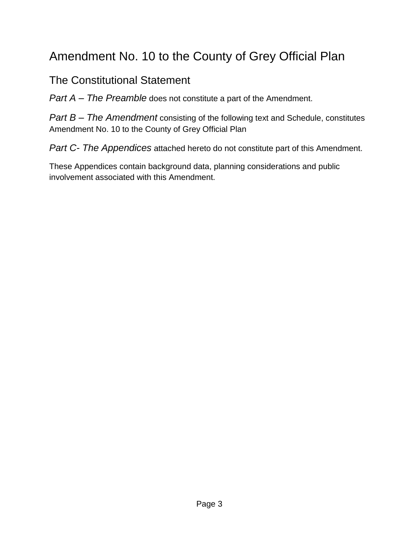# Amendment No. 10 to the County of Grey Official Plan

## The Constitutional Statement

*Part A – The Preamble* does not constitute a part of the Amendment.

*Part B – The Amendment* consisting of the following text and Schedule, constitutes Amendment No. 10 to the County of Grey Official Plan

*Part C- The Appendices* attached hereto do not constitute part of this Amendment.

These Appendices contain background data, planning considerations and public involvement associated with this Amendment.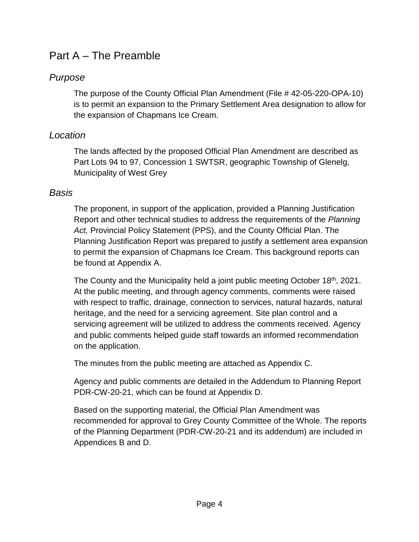## Part A – The Preamble

#### *Purpose*

The purpose of the County Official Plan Amendment (File # 42-05-220-OPA-10) is to permit an expansion to the Primary Settlement Area designation to allow for the expansion of Chapmans Ice Cream.

#### *Location*

The lands affected by the proposed Official Plan Amendment are described as Part Lots 94 to 97, Concession 1 SWTSR, geographic Township of Glenelg, Municipality of West Grey

#### *Basis*

The proponent, in support of the application, provided a Planning Justification Report and other technical studies to address the requirements of the *Planning Act,* Provincial Policy Statement (PPS), and the County Official Plan. The Planning Justification Report was prepared to justify a settlement area expansion to permit the expansion of Chapmans Ice Cream. This background reports can be found at Appendix A.

The County and the Municipality held a joint public meeting October 18<sup>th</sup>, 2021. At the public meeting, and through agency comments, comments were raised with respect to traffic, drainage, connection to services, natural hazards, natural heritage, and the need for a servicing agreement. Site plan control and a servicing agreement will be utilized to address the comments received. Agency and public comments helped guide staff towards an informed recommendation on the application.

The minutes from the public meeting are attached as Appendix C.

Agency and public comments are detailed in the Addendum to Planning Report PDR-CW-20-21, which can be found at Appendix D.

Based on the supporting material, the Official Plan Amendment was recommended for approval to Grey County Committee of the Whole. The reports of the Planning Department (PDR-CW-20-21 and its addendum) are included in Appendices B and D.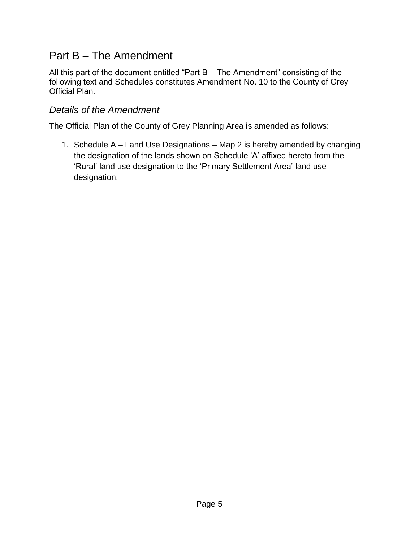## Part B – The Amendment

All this part of the document entitled "Part B – The Amendment" consisting of the following text and Schedules constitutes Amendment No. 10 to the County of Grey Official Plan.

#### *Details of the Amendment*

The Official Plan of the County of Grey Planning Area is amended as follows:

1. Schedule A – Land Use Designations – Map 2 is hereby amended by changing the designation of the lands shown on Schedule 'A' affixed hereto from the 'Rural' land use designation to the 'Primary Settlement Area' land use designation.